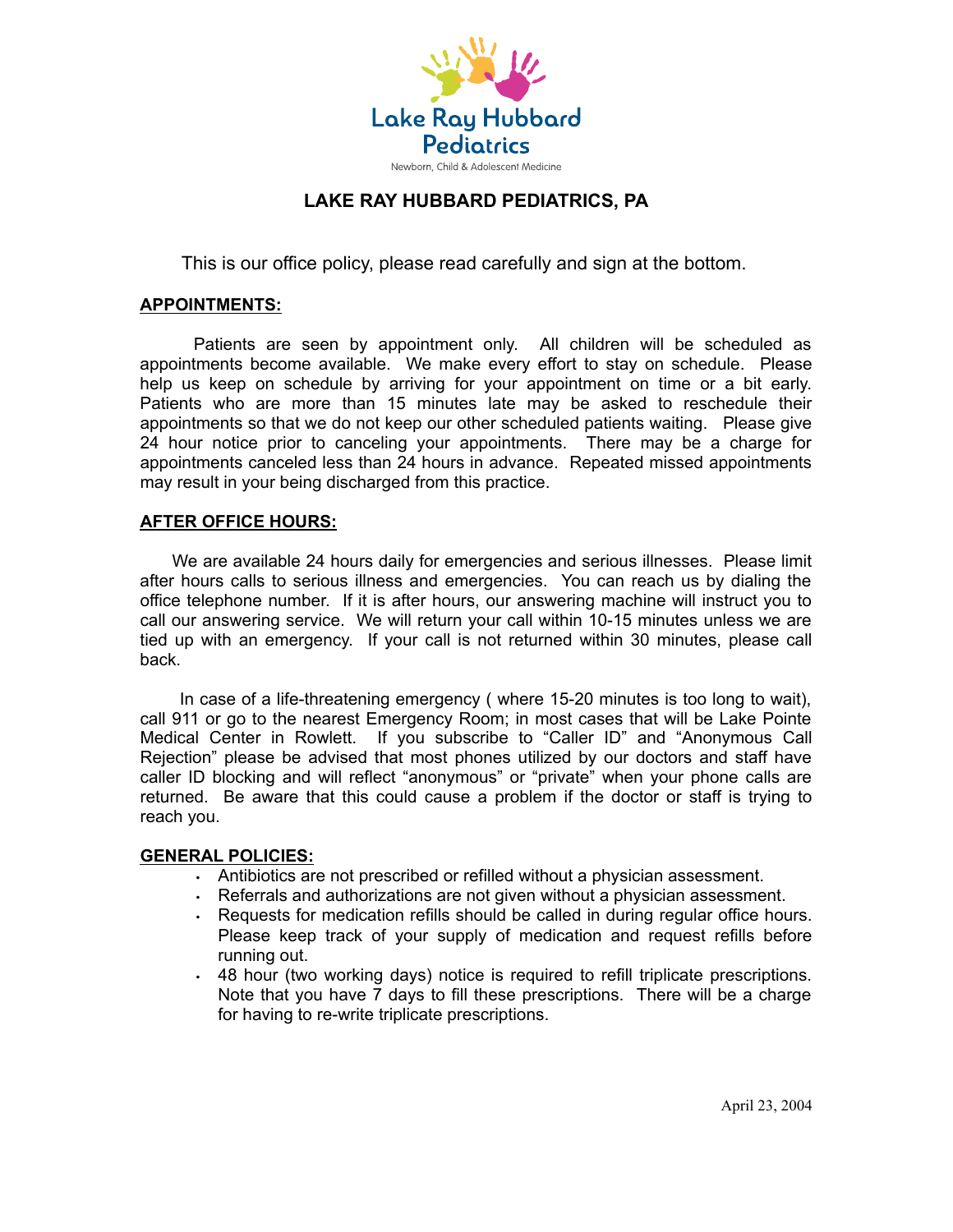

# **LAKE RAY HUBBARD PEDIATRICS, PA**

This is our office policy, please read carefully and sign at the bottom.

#### **APPOINTMENTS:**

Patients are seen by appointment only. All children will be scheduled as appointments become available. We make every effort to stay on schedule. Please help us keep on schedule by arriving for your appointment on time or a bit early. Patients who are more than 15 minutes late may be asked to reschedule their appointments so that we do not keep our other scheduled patients waiting. Please give 24 hour notice prior to canceling your appointments. There may be a charge for appointments canceled less than 24 hours in advance. Repeated missed appointments may result in your being discharged from this practice.

#### **AFTER OFFICE HOURS:**

We are available 24 hours daily for emergencies and serious illnesses. Please limit after hours calls to serious illness and emergencies. You can reach us by dialing the office telephone number. If it is after hours, our answering machine will instruct you to call our answering service. We will return your call within 10-15 minutes unless we are tied up with an emergency. If your call is not returned within 30 minutes, please call back.

In case of a life-threatening emergency ( where 15-20 minutes is too long to wait), call 911 or go to the nearest Emergency Room; in most cases that will be Lake Pointe Medical Center in Rowlett. If you subscribe to "Caller ID" and "Anonymous Call Rejection" please be advised that most phones utilized by our doctors and staff have caller ID blocking and will reflect "anonymous" or "private" when your phone calls are returned. Be aware that this could cause a problem if the doctor or staff is trying to reach you.

#### **GENERAL POLICIES:**

- Antibiotics are not prescribed or refilled without a physician assessment.
- Referrals and authorizations are not given without a physician assessment.
- Requests for medication refills should be called in during regular office hours. Please keep track of your supply of medication and request refills before running out.
- 48 hour (two working days) notice is required to refill triplicate prescriptions. Note that you have 7 days to fill these prescriptions. There will be a charge for having to re-write triplicate prescriptions.